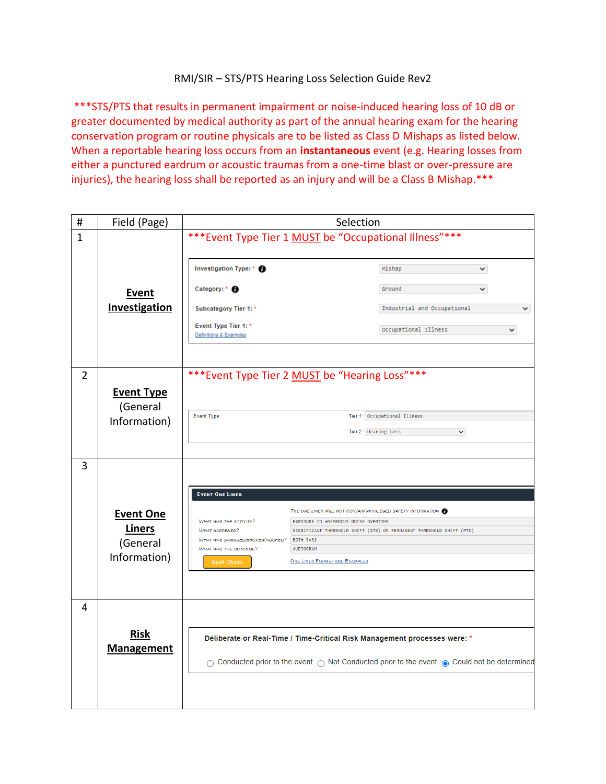## RMI/SIR – STS/PTS Hearing Loss Selection Guide Rev2

\*\*\*STS/PTS that results in permanent impairment or noise-induced hearing loss of 10 dB or greater documented by medical authority as part of the annual hearing exam for the hearing conservation program or routine physicals are to be listed as Class D Mishaps as listed below. When a reportable hearing loss occurs from an **instantaneous** event (e.g. Hearing losses from either a punctured eardrum or acoustic traumas from a one-time blast or over-pressure are injuries), the hearing loss shall be reported as an injury and will be a Class B Mishap.\*\*\*

| $\#$           | Field (Page)                                                                                                                                                                                                                            | Selection                                                 |                                                                                                      |
|----------------|-----------------------------------------------------------------------------------------------------------------------------------------------------------------------------------------------------------------------------------------|-----------------------------------------------------------|------------------------------------------------------------------------------------------------------|
| $\mathbf{1}$   |                                                                                                                                                                                                                                         | *** Event Type Tier 1 MUST be "Occupational Illness" ***  |                                                                                                      |
|                |                                                                                                                                                                                                                                         | Investigation Type: * <b>A</b>                            | Mishap<br>v                                                                                          |
|                | Event                                                                                                                                                                                                                                   | Category: * <sup>6</sup>                                  | Ground                                                                                               |
|                | <b>Investigation</b>                                                                                                                                                                                                                    | Subcategory Tier 1: *                                     | Industrial and Occupational<br>v                                                                     |
|                |                                                                                                                                                                                                                                         | Event Type Tier 1: *<br>Definitions & Examples            | Occupational Illness<br>٧                                                                            |
|                |                                                                                                                                                                                                                                         |                                                           |                                                                                                      |
| $\overline{2}$ |                                                                                                                                                                                                                                         | *** Event Type Tier 2 MUST be "Hearing Loss" ***          |                                                                                                      |
|                | <b>Event Type</b><br>(General                                                                                                                                                                                                           |                                                           |                                                                                                      |
|                | Information)                                                                                                                                                                                                                            | Event Type:                                               | Tier 1: Occupational Illness                                                                         |
|                |                                                                                                                                                                                                                                         |                                                           | Tier 2: Hearing Loss<br>$\checkmark$                                                                 |
|                |                                                                                                                                                                                                                                         |                                                           |                                                                                                      |
| 3              |                                                                                                                                                                                                                                         | <b>EVENT ONE LINER</b>                                    |                                                                                                      |
|                | <b>Event One</b>                                                                                                                                                                                                                        | <b>WHAT WAS THE ACTIVITY?</b>                             | THE ONE LINER WILL NOT CONTAIN PRIVILEGED SAFETY INFORMATION<br>EXPOSURE TO HAZARDOUS NOISE OVERTIME |
|                | <b>Liners</b>                                                                                                                                                                                                                           | <b>WHAT HAPPENED?</b><br>WHAT WAS DAMAGED/BROKEN/INJURED? | SIGNIFICANT THRESHOLD SHIFT (STS) OR PERMANENT THRESHOLD SHIFT (PTS)<br><b>BOTH EARS</b>             |
|                | (General                                                                                                                                                                                                                                | WHAT WAS THE OUTCOME?                                     | AUDIOGRAM                                                                                            |
|                | Information)                                                                                                                                                                                                                            | <b>Spell Check</b>                                        | <b>ONE LINER FORMAT AND EXAMPLES</b>                                                                 |
|                |                                                                                                                                                                                                                                         |                                                           |                                                                                                      |
| 4              |                                                                                                                                                                                                                                         |                                                           |                                                                                                      |
|                | <b>Risk</b><br>Deliberate or Real-Time / Time-Critical Risk Management processes were: *<br><b>Management</b><br>$\bigcirc$ Conducted prior to the event $\bigcirc$ Not Conducted prior to the event $\bigcirc$ Could not be determined |                                                           |                                                                                                      |
|                |                                                                                                                                                                                                                                         |                                                           |                                                                                                      |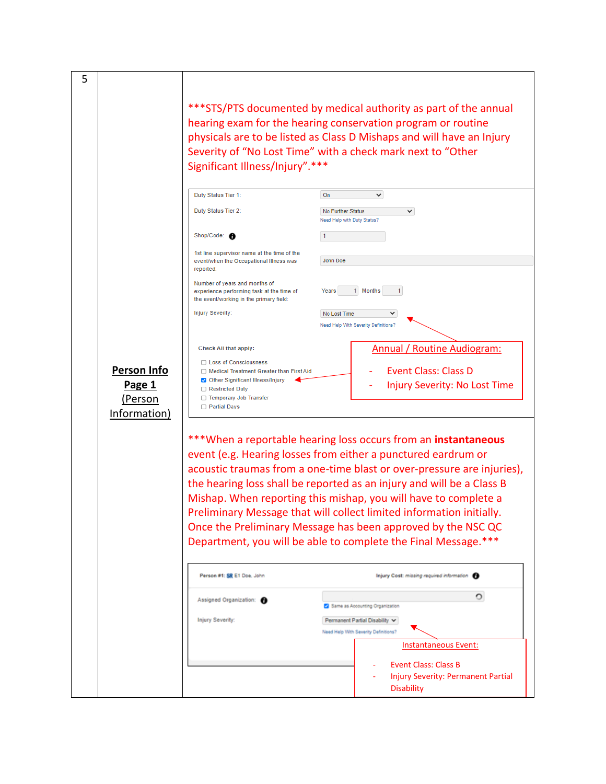\*\*\*STS/PTS documented by medical authority as part of the annual hearing exam for the hearing conservation program or routine physicals are to be listed as Class D Mishaps and will have an Injury Severity of "No Lost Time" with a check mark next to "Other Significant Illness/Injury".\*\*\*

5

|                    | Duty Status Tier 1:                                                                                                   | On<br>$\checkmark$                                                   |
|--------------------|-----------------------------------------------------------------------------------------------------------------------|----------------------------------------------------------------------|
|                    | Duty Status Tier 2:                                                                                                   | <b>No Further Status</b><br>$\checkmark$                             |
|                    | Shop/Code: A                                                                                                          | Need Help with Duty Status?                                          |
|                    | 1st line supervisor name at the time of the                                                                           |                                                                      |
|                    | event/when the Occupational Illness was<br>reported:                                                                  | John Doe                                                             |
|                    | Number of years and months of<br>experience performing task at the time of<br>the event/working in the primary field: | Months<br>Years<br>1                                                 |
|                    | <b>Injury Severity:</b>                                                                                               | No Lost Time<br>$\checkmark$<br>Need Help With Severity Definitions? |
|                    | Check All that apply:                                                                                                 | Annual / Routine Audiogram:                                          |
| <b>Person Info</b> | <b>Loss of Consciousness</b><br><b>Medical Treatment Greater than First Aid</b>                                       | Event Class: Class D                                                 |
|                    | Other Significant Illness/Injury                                                                                      |                                                                      |
| Page 1             | <b>Restricted Duty</b>                                                                                                | <b>Injury Severity: No Lost Time</b>                                 |
| Person)            | <b>Temporary Job Transfer</b>                                                                                         |                                                                      |
| Information)       | <b>Partial Days</b>                                                                                                   |                                                                      |

\*\*\*When a reportable hearing loss occurs from an **instantaneous**  event (e.g. Hearing losses from either a punctured eardrum or acoustic traumas from a one-time blast or over-pressure are injuries), the hearing loss shall be reported as an injury and will be a Class B Mishap. When reporting this mishap, you will have to complete a Preliminary Message that will collect limited information initially. Once the Preliminary Message has been approved by the NSC QC Department, you will be able to complete the Final Message.\*\*\*

| Assigned Organization:  |                                         |
|-------------------------|-----------------------------------------|
|                         | Same as Accounting Organization         |
| <b>Injury Severity:</b> | Permanent Partial Disability V          |
|                         | Need Help With Severity Definitions?    |
|                         | Instantaneous Event:                    |
|                         | <b>Event Class: Class B</b><br>۰        |
|                         | Injury Severity: Permanent Partial<br>۰ |
|                         | <b>Disability</b>                       |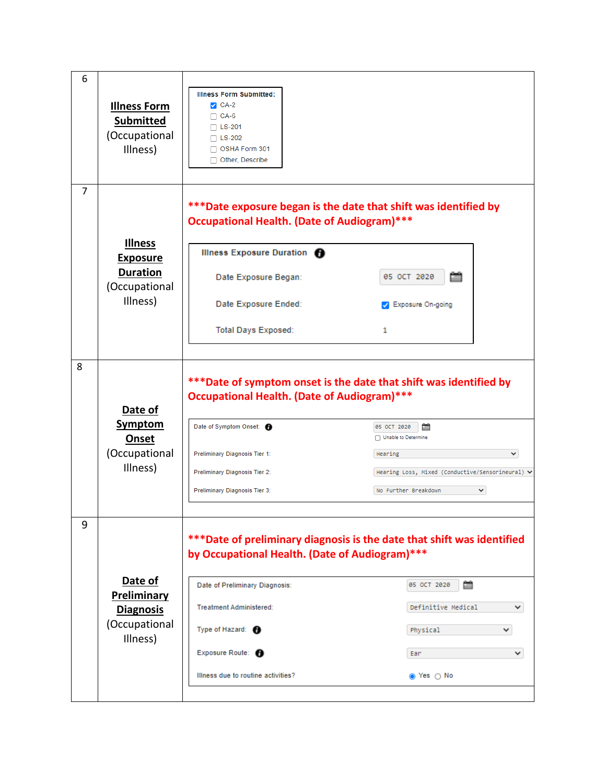| 6 | <b>Illness Form</b><br><b>Submitted</b><br>(Occupational<br>Illness)              | <b>Illness Form Submitted:</b><br>$\triangleright$ CA-2<br>$\Box$ CA-6<br>$\Box$ LS-201<br>$\Box$ LS-202<br>$\Box$ OSHA Form 301<br>Other, Describe                                                                                           |                                                                                                                                                                                                                          |
|---|-----------------------------------------------------------------------------------|-----------------------------------------------------------------------------------------------------------------------------------------------------------------------------------------------------------------------------------------------|--------------------------------------------------------------------------------------------------------------------------------------------------------------------------------------------------------------------------|
| 7 | <b>Illness</b><br><b>Exposure</b><br><b>Duration</b><br>(Occupational<br>Illness) | ***Date exposure began is the date that shift was identified by<br><b>Occupational Health. (Date of Audiogram)***</b><br>Illness Exposure Duration <sup>6</sup><br>Date Exposure Began:<br>Date Exposure Ended:<br><b>Total Days Exposed:</b> | 05 OCT 2020<br><b>Z</b> Exposure On-going<br>1                                                                                                                                                                           |
| 8 | Date of<br><b>Symptom</b><br>Onset<br>(Occupational<br>Illness)                   | <b>Occupational Health. (Date of Audiogram)***</b><br>Date of Symptom Onset: <b>O</b><br>Preliminary Diagnosis Tier 1:<br>Preliminary Diagnosis Tier 2:<br>Preliminary Diagnosis Tier 3:                                                      | ***Date of symptom onset is the date that shift was identified by<br>05 OCT 2020<br>臝<br>Unable to Determine<br>◡<br>Hearing<br>Hearing Loss, Mixed (Conductive/Sensorineural) ↓<br>$\checkmark$<br>No Further Breakdown |
| 9 | Date of<br>Preliminary<br><b>Diagnosis</b><br>(Occupational<br>Illness)           | by Occupational Health. (Date of Audiogram)***<br>Date of Preliminary Diagnosis:<br>Treatment Administered:<br>Type of Hazard: <b>O</b><br>Exposure Route: <b>O</b><br>Illness due to routine activities?                                     | *** Date of preliminary diagnosis is the date that shift was identified<br>臝<br>05 OCT 2020<br>Definitive Medical<br>v<br>Physical<br>Ear<br>╰<br>⊚ Yes ⊜ No                                                             |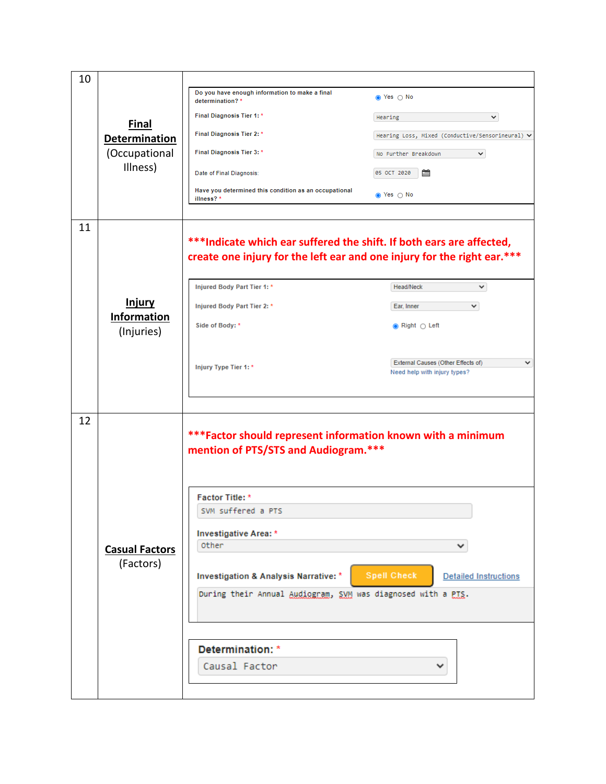| 10 |                                  |                                                                                                                                                  |                                                                                    |
|----|----------------------------------|--------------------------------------------------------------------------------------------------------------------------------------------------|------------------------------------------------------------------------------------|
|    | <b>Final</b><br>Determination    | Do you have enough information to make a final<br>determination?*                                                                                | n Yes ∩ No                                                                         |
|    |                                  | Final Diagnosis Tier 1:*                                                                                                                         | Hearing<br>v                                                                       |
|    |                                  | Final Diagnosis Tier 2:*                                                                                                                         | Hearing Loss, Mixed (Conductive/Sensorineural) ↓                                   |
|    | (Occupational                    | Final Diagnosis Tier 3: *                                                                                                                        | $\checkmark$<br>No Further Breakdown                                               |
|    | Illness)                         | Date of Final Diagnosis:                                                                                                                         | 05 OCT 2020                                                                        |
|    |                                  | Have you determined this condition as an occupational<br>illness?*                                                                               | s Yes ⊜ No                                                                         |
| 11 |                                  | *** Indicate which ear suffered the shift. If both ears are affected,<br>create one injury for the left ear and one injury for the right ear.*** |                                                                                    |
|    |                                  | Injured Body Part Tier 1: *                                                                                                                      | Head/Neck<br>v                                                                     |
|    | <b>Injury</b>                    | Injured Body Part Tier 2: *                                                                                                                      | Ear, Inner<br>$\checkmark$                                                         |
|    | <b>Information</b><br>(Injuries) | Side of Body: *                                                                                                                                  | $\circledcirc$ Right $\circlearrowright$ Left                                      |
|    |                                  | Injury Type Tier 1:*                                                                                                                             | External Causes (Other Effects of)<br>$\checkmark$<br>Need help with injury types? |
| 12 |                                  | *** Factor should represent information known with a minimum<br>mention of PTS/STS and Audiogram.***                                             |                                                                                    |
|    |                                  | <b>Factor Title: *</b>                                                                                                                           |                                                                                    |
|    |                                  | SVM suffered a PTS                                                                                                                               |                                                                                    |
|    |                                  | Investigative Area: *                                                                                                                            |                                                                                    |
|    | <b>Casual Factors</b>            | <b>other</b>                                                                                                                                     |                                                                                    |
|    |                                  |                                                                                                                                                  |                                                                                    |
|    | (Factors)                        | <b>Investigation &amp; Analysis Narrative: *</b>                                                                                                 | <b>Spell Check</b><br><b>Detailed Instructions</b>                                 |
|    |                                  | During their Annual Audiogram, SVM was diagnosed with a PTS.                                                                                     |                                                                                    |
|    |                                  | Determination: *                                                                                                                                 |                                                                                    |
|    |                                  | Causal Factor                                                                                                                                    |                                                                                    |